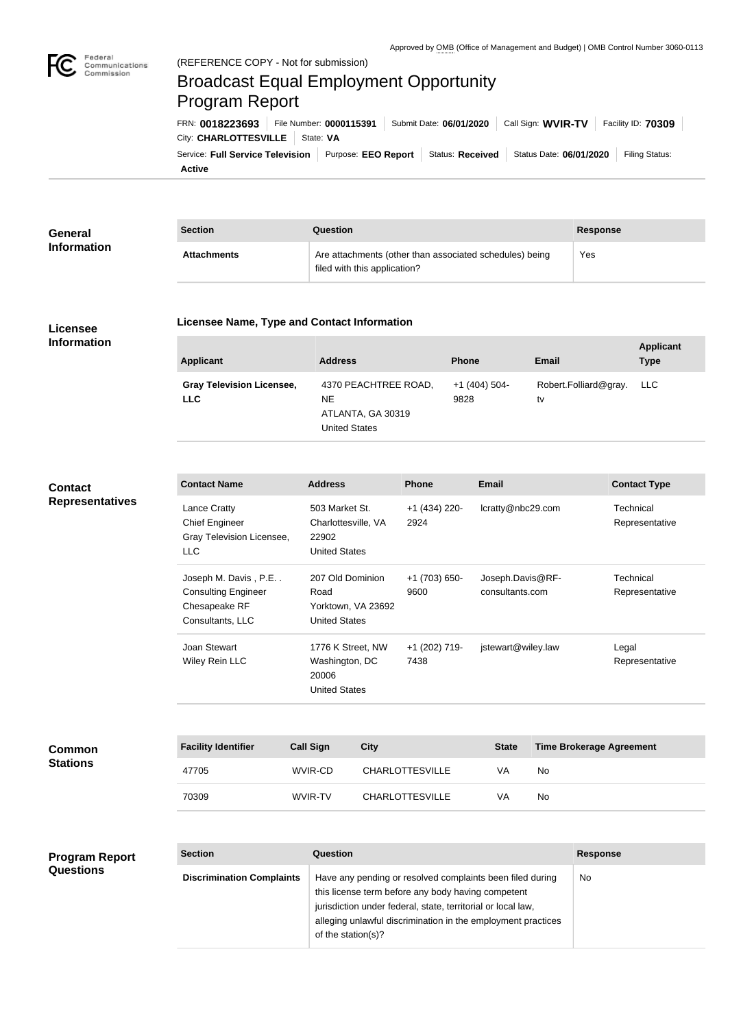

# Broadcast Equal Employment Opportunity Program Report

**Active** Service: Full Service Television | Purpose: EEO Report | Status: Received | Status Date: 06/01/2020 | Filing Status: City: **CHARLOTTESVILLE** | State: VA FRN: **0018223693** File Number: **0000115391** Submit Date: **06/01/2020** Call Sign: **WVIR-TV** Facility ID: **70309**

| General            | <b>Section</b>     | Question                                                                                | <b>Response</b> |
|--------------------|--------------------|-----------------------------------------------------------------------------------------|-----------------|
| <b>Information</b> | <b>Attachments</b> | Are attachments (other than associated schedules) being<br>filed with this application? | Yes             |

## **Licensee Information**

### **Licensee Name, Type and Contact Information**

| Applicant                                      | <b>Address</b>                                                    | <b>Phone</b>            | <b>Email</b>                    | <b>Applicant</b><br><b>Type</b> |
|------------------------------------------------|-------------------------------------------------------------------|-------------------------|---------------------------------|---------------------------------|
| <b>Gray Television Licensee,</b><br><b>LLC</b> | 4370 PEACHTREE ROAD,<br>NE.<br>ATLANTA, GA 30319<br>United States | $+1$ (404) 504-<br>9828 | Robert.Folliard@gray. LLC<br>tv |                                 |

# **Contact Representatives**

| <b>Contact Name</b>        | <b>Address</b>       | <b>Phone</b>    | <b>Email</b>       | <b>Contact Type</b> |
|----------------------------|----------------------|-----------------|--------------------|---------------------|
| <b>Lance Cratty</b>        | 503 Market St.       | $+1$ (434) 220- | lcratty@nbc29.com  | Technical           |
| <b>Chief Engineer</b>      | Charlottesville, VA  | 2924            |                    | Representative      |
| Gray Television Licensee,  | 22902                |                 |                    |                     |
| LLC                        | <b>United States</b> |                 |                    |                     |
| Joseph M. Davis, P.E       | 207 Old Dominion     | $+1(703)650-$   | Joseph.Davis@RF-   | Technical           |
| <b>Consulting Engineer</b> | Road                 | 9600            | consultants.com    | Representative      |
| Chesapeake RF              | Yorktown, VA 23692   |                 |                    |                     |
| Consultants, LLC           | <b>United States</b> |                 |                    |                     |
| Joan Stewart               | 1776 K Street, NW    | +1 (202) 719-   | jstewart@wiley.law | Legal               |
| Wiley Rein LLC             | Washington, DC       | 7438            |                    | Representative      |
|                            | 20006                |                 |                    |                     |
|                            | <b>United States</b> |                 |                    |                     |

| <b>Common</b><br><b>Stations</b> | <b>Facility Identifier</b> | <b>Call Sign</b> | City                   | <b>State</b> | <b>Time Brokerage Agreement</b> |
|----------------------------------|----------------------------|------------------|------------------------|--------------|---------------------------------|
|                                  | 47705                      | WVIR-CD          | <b>CHARLOTTESVILLE</b> | VA           | No                              |
|                                  | 70309                      | WVIR-TV          | <b>CHARLOTTESVILLE</b> | VA           | No                              |

#### **Section Question Response Discrimination Complaints** | Have any pending or resolved complaints been filed during this license term before any body having competent jurisdiction under federal, state, territorial or local law, alleging unlawful discrimination in the employment practices of the station(s)? No **Program Report Questions**